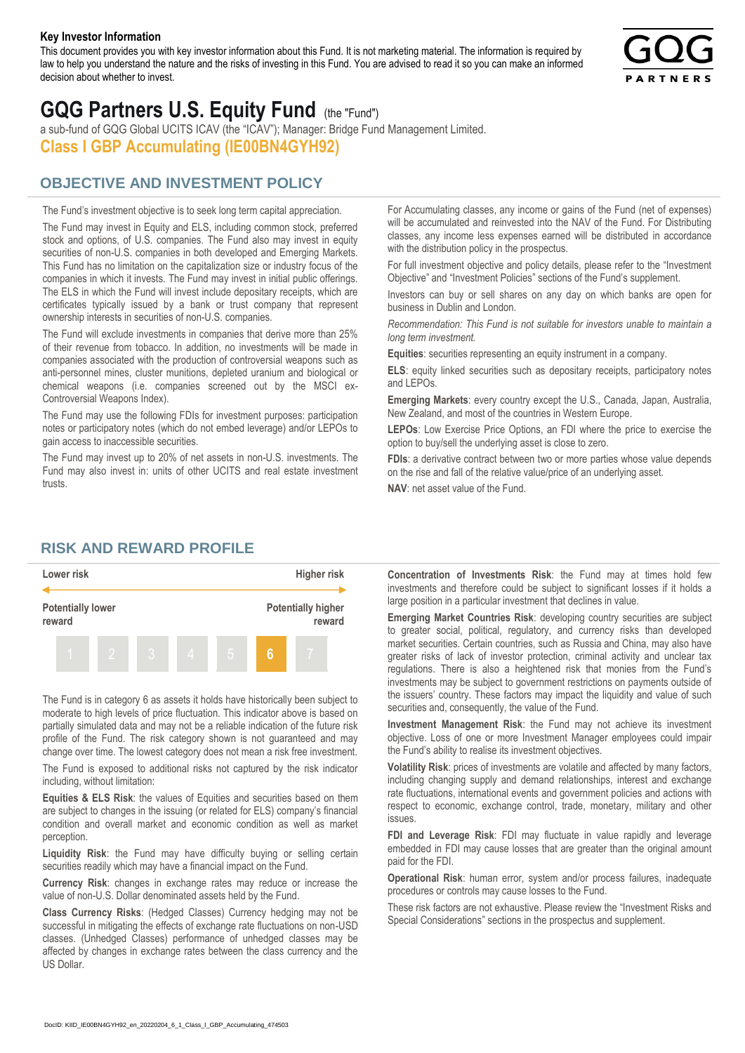#### **Key Investor Information**

This document provides you with key investor information about this Fund. It is not marketing material. The information is required by law to help you understand the nature and the risks of investing in this Fund. You are advised to read it so you can make an informed decision about whether to invest.



# **GQG Partners U.S. Equity Fund** (the "Fund")

a sub-fund of GQG Global UCITS ICAV (the "ICAV"); Manager: Bridge Fund Management Limited. **Class I GBP Accumulating (IE00BN4GYH92)**

## **OBJECTIVE AND INVESTMENT POLICY**

The Fund's investment objective is to seek long term capital appreciation. The Fund may invest in Equity and ELS, including common stock, preferred stock and options, of U.S. companies. The Fund also may invest in equity securities of non-U.S. companies in both developed and Emerging Markets. This Fund has no limitation on the capitalization size or industry focus of the companies in which it invests. The Fund may invest in initial public offerings. The ELS in which the Fund will invest include depositary receipts, which are certificates typically issued by a bank or trust company that represent ownership interests in securities of non-U.S. companies.

The Fund will exclude investments in companies that derive more than 25% of their revenue from tobacco. In addition, no investments will be made in companies associated with the production of controversial weapons such as anti-personnel mines, cluster munitions, depleted uranium and biological or chemical weapons (i.e. companies screened out by the MSCI ex-Controversial Weapons Index).

The Fund may use the following FDIs for investment purposes: participation notes or participatory notes (which do not embed leverage) and/or LEPOs to gain access to inaccessible securities.

The Fund may invest up to 20% of net assets in non-U.S. investments. The Fund may also invest in: units of other UCITS and real estate investment trusts.

For Accumulating classes, any income or gains of the Fund (net of expenses) will be accumulated and reinvested into the NAV of the Fund. For Distributing classes, any income less expenses earned will be distributed in accordance with the distribution policy in the prospectus.

For full investment objective and policy details, please refer to the "Investment Objective" and "Investment Policies" sections of the Fund's supplement.

Investors can buy or sell shares on any day on which banks are open for business in Dublin and London.

*Recommendation: This Fund is not suitable for investors unable to maintain a long term investment.*

**Equities**: securities representing an equity instrument in a company.

**ELS**: equity linked securities such as depositary receipts, participatory notes and LEPOs.

**Emerging Markets**: every country except the U.S., Canada, Japan, Australia, New Zealand, and most of the countries in Western Europe.

**LEPOs**: Low Exercise Price Options, an FDI where the price to exercise the option to buy/sell the underlying asset is close to zero.

**FDIs**: a derivative contract between two or more parties whose value depends on the rise and fall of the relative value/price of an underlying asset.

**NAV**: net asset value of the Fund.

### **RISK AND REWARD PROFILE**



The Fund is in category 6 as assets it holds have historically been subject to moderate to high levels of price fluctuation. This indicator above is based on partially simulated data and may not be a reliable indication of the future risk profile of the Fund. The risk category shown is not guaranteed and may change over time. The lowest category does not mean a risk free investment.

The Fund is exposed to additional risks not captured by the risk indicator including, without limitation:

**Equities & ELS Risk**: the values of Equities and securities based on them are subject to changes in the issuing (or related for ELS) company's financial condition and overall market and economic condition as well as market perception.

**Liquidity Risk**: the Fund may have difficulty buying or selling certain securities readily which may have a financial impact on the Fund.

**Currency Risk**: changes in exchange rates may reduce or increase the value of non-U.S. Dollar denominated assets held by the Fund.

**Class Currency Risks**: (Hedged Classes) Currency hedging may not be successful in mitigating the effects of exchange rate fluctuations on non-USD classes. (Unhedged Classes) performance of unhedged classes may be affected by changes in exchange rates between the class currency and the US Dollar.

**Concentration of Investments Risk**: the Fund may at times hold few investments and therefore could be subject to significant losses if it holds a large position in a particular investment that declines in value.

**Emerging Market Countries Risk**: developing country securities are subject to greater social, political, regulatory, and currency risks than developed market securities. Certain countries, such as Russia and China, may also have greater risks of lack of investor protection, criminal activity and unclear tax regulations. There is also a heightened risk that monies from the Fund's investments may be subject to government restrictions on payments outside of the issuers' country. These factors may impact the liquidity and value of such securities and, consequently, the value of the Fund.

**Investment Management Risk**: the Fund may not achieve its investment objective. Loss of one or more Investment Manager employees could impair the Fund's ability to realise its investment objectives.

**Volatility Risk**: prices of investments are volatile and affected by many factors, including changing supply and demand relationships, interest and exchange rate fluctuations, international events and government policies and actions with respect to economic, exchange control, trade, monetary, military and other issues.

**FDI and Leverage Risk**: FDI may fluctuate in value rapidly and leverage embedded in FDI may cause losses that are greater than the original amount paid for the FDI.

**Operational Risk**: human error, system and/or process failures, inadequate procedures or controls may cause losses to the Fund.

These risk factors are not exhaustive. Please review the "Investment Risks and Special Considerations" sections in the prospectus and supplement.